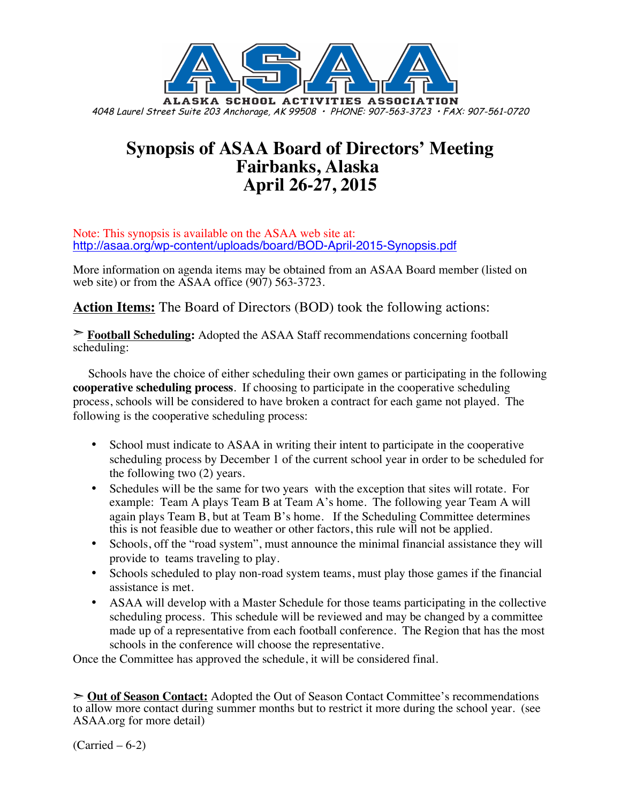

# **Synopsis of ASAA Board of Directors' Meeting Fairbanks, Alaska April 26-27, 2015**

Note: This synopsis is available on the ASAA web site at: http://asaa.org/wp-content/uploads/board/BOD-April-2015-Synopsis.pdf

More information on agenda items may be obtained from an ASAA Board member (listed on web site) or from the ASAA office (907) 563-3723.

**Action Items:** The Board of Directors (BOD) took the following actions:

➣ **Football Scheduling:** Adopted the ASAA Staff recommendations concerning football scheduling:

Schools have the choice of either scheduling their own games or participating in the following **cooperative scheduling process**. If choosing to participate in the cooperative scheduling process, schools will be considered to have broken a contract for each game not played. The following is the cooperative scheduling process:

- School must indicate to ASAA in writing their intent to participate in the cooperative scheduling process by December 1 of the current school year in order to be scheduled for the following two (2) years.
- Schedules will be the same for two years with the exception that sites will rotate. For example: Team A plays Team B at Team A's home. The following year Team A will again plays Team B, but at Team B's home. If the Scheduling Committee determines this is not feasible due to weather or other factors, this rule will not be applied.
- Schools, off the "road system", must announce the minimal financial assistance they will provide to teams traveling to play.
- Schools scheduled to play non-road system teams, must play those games if the financial assistance is met.
- ASAA will develop with a Master Schedule for those teams participating in the collective scheduling process. This schedule will be reviewed and may be changed by a committee made up of a representative from each football conference. The Region that has the most schools in the conference will choose the representative.

Once the Committee has approved the schedule, it will be considered final.

➣ **Out of Season Contact:** Adopted the Out of Season Contact Committee's recommendations to allow more contact during summer months but to restrict it more during the school year. (see ASAA.org for more detail)

 $(Carried – 6-2)$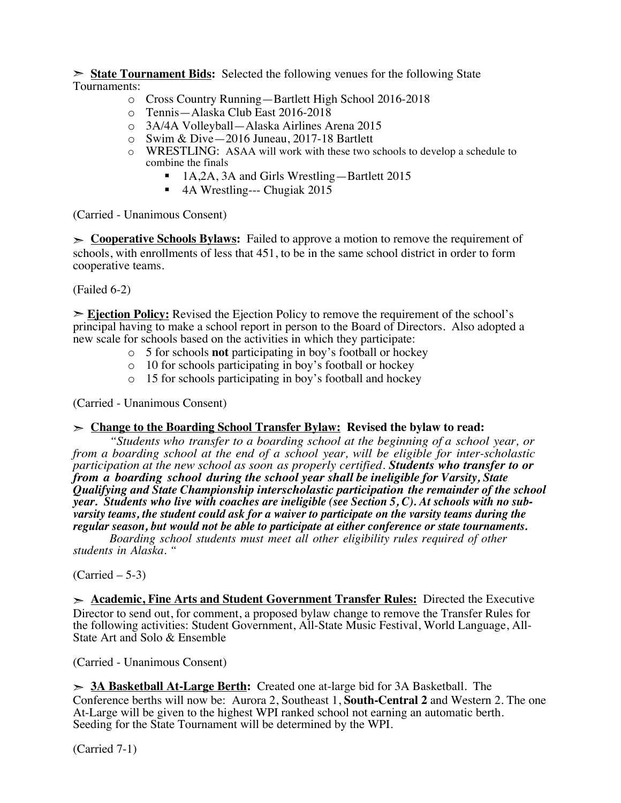➣ **State Tournament Bids:** Selected the following venues for the following State Tournaments:

- o Cross Country Running—Bartlett High School 2016-2018
- o Tennis—Alaska Club East 2016-2018
- o 3A/4A Volleyball—Alaska Airlines Arena 2015
- o Swim & Dive—2016 Juneau, 2017-18 Bartlett
- o WRESTLING: ASAA will work with these two schools to develop a schedule to combine the finals
	- 1A,2A, 3A and Girls Wrestling—Bartlett 2015
	- 4A Wrestling--- Chugiak 2015

(Carried - Unanimous Consent)

➣ **Cooperative Schools Bylaws:** Failed to approve a motion to remove the requirement of schools, with enrollments of less that 451, to be in the same school district in order to form cooperative teams.

(Failed 6-2)

➣ **Ejection Policy:** Revised the Ejection Policy to remove the requirement of the school's principal having to make a school report in person to the Board of Directors. Also adopted a new scale for schools based on the activities in which they participate:

- o 5 for schools **not** participating in boy's football or hockey
- o 10 for schools participating in boy's football or hockey
- o 15 for schools participating in boy's football and hockey

(Carried - Unanimous Consent)

#### ➣ **Change to the Boarding School Transfer Bylaw: Revised the bylaw to read:**

*"Students who transfer to a boarding school at the beginning of a school year, or from a boarding school at the end of a school year, will be eligible for inter-scholastic participation at the new school as soon as properly certified. Students who transfer to or from a boarding school during the school year shall be ineligible for Varsity, State Qualifying and State Championship interscholastic participation the remainder of the school year. Students who live with coaches are ineligible (see Section 5, C). At schools with no subvarsity teams, the student could ask for a waiver to participate on the varsity teams during the regular season, but would not be able to participate at either conference or state tournaments.*

*Boarding school students must meet all other eligibility rules required of other students in Alaska. "*

#### (Carried – 5-3)

➣ **Academic, Fine Arts and Student Government Transfer Rules:** Directed the Executive Director to send out, for comment, a proposed bylaw change to remove the Transfer Rules for the following activities: Student Government, All-State Music Festival, World Language, All-State Art and Solo & Ensemble

(Carried - Unanimous Consent)

➣ **3A Basketball At-Large Berth:** Created one at-large bid for 3A Basketball. The Conference berths will now be: Aurora 2, Southeast 1, **South-Central 2** and Western 2. The one At-Large will be given to the highest WPI ranked school not earning an automatic berth. Seeding for the State Tournament will be determined by the WPI.

(Carried 7-1)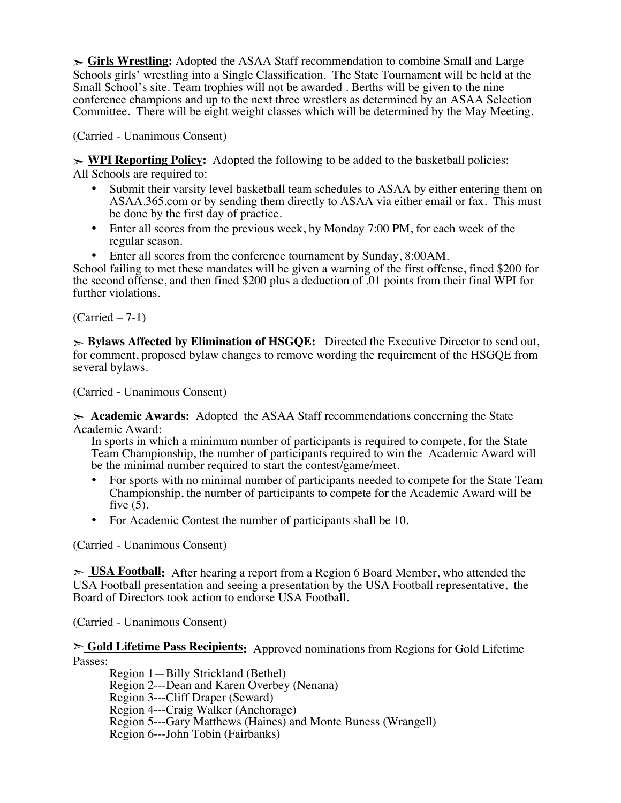➣ **Girls Wrestling:** Adopted the ASAA Staff recommendation to combine Small and Large Schools girls' wrestling into a Single Classification. The State Tournament will be held at the Small School's site. Team trophies will not be awarded . Berths will be given to the nine conference champions and up to the next three wrestlers as determined by an ASAA Selection Committee. There will be eight weight classes which will be determined by the May Meeting.

(Carried - Unanimous Consent)

➣ **WPI Reporting Policy:** Adopted the following to be added to the basketball policies: All Schools are required to:

- Submit their varsity level basketball team schedules to ASAA by either entering them on ASAA.365.com or by sending them directly to ASAA via either email or fax. This must be done by the first day of practice.
- Enter all scores from the previous week, by Monday 7:00 PM, for each week of the regular season.
- Enter all scores from the conference tournament by Sunday, 8:00AM.

School failing to met these mandates will be given a warning of the first offense, fined \$200 for the second offense, and then fined \$200 plus a deduction of .01 points from their final WPI for further violations.

(Carried – 7-1)

➣ **Bylaws Affected by Elimination of HSGQE:** Directed the Executive Director to send out, for comment, proposed bylaw changes to remove wording the requirement of the HSGQE from several bylaws.

(Carried - Unanimous Consent)

➣ **Academic Awards:** Adopted the ASAA Staff recommendations concerning the State Academic Award:

In sports in which a minimum number of participants is required to compete, for the State Team Championship, the number of participants required to win the Academic Award will be the minimal number required to start the contest/game/meet.

- For sports with no minimal number of participants needed to compete for the State Team Championship, the number of participants to compete for the Academic Award will be five  $(5)$ .
- For Academic Contest the number of participants shall be 10.

(Carried - Unanimous Consent)

➣ **USA Football:** After hearing a report from a Region 6 Board Member, who attended the USA Football presentation and seeing a presentation by the USA Football representative, the Board of Directors took action to endorse USA Football.

(Carried - Unanimous Consent)

➣ **Gold Lifetime Pass Recipients:** Approved nominations from Regions for Gold Lifetime Passes:

Region 1—Billy Strickland (Bethel) Region 2---Dean and Karen Overbey (Nenana) Region 3---Cliff Draper (Seward) Region 4---Craig Walker (Anchorage) Region 5---Gary Matthews (Haines) and Monte Buness (Wrangell) Region 6---John Tobin (Fairbanks)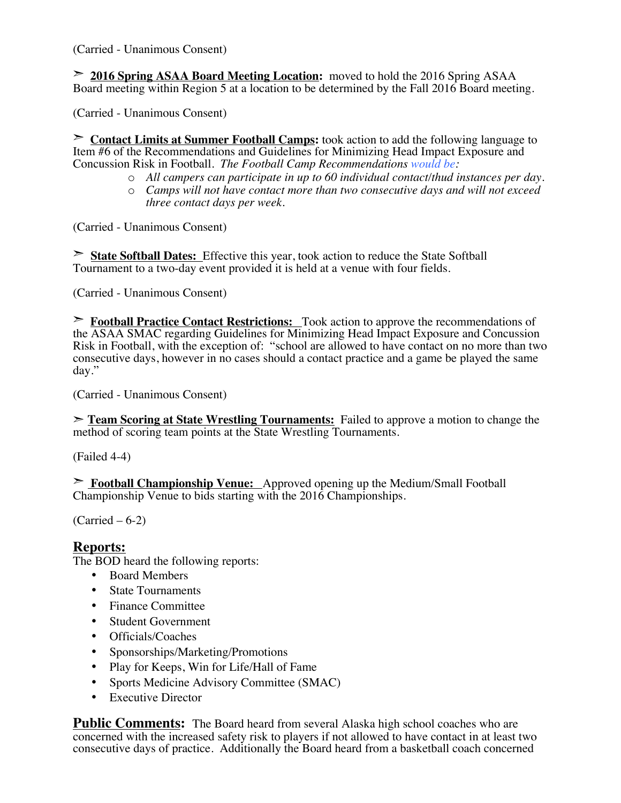(Carried - Unanimous Consent)

➣ **2016 Spring ASAA Board Meeting Location:** moved to hold the 2016 Spring ASAA Board meeting within Region 5 at a location to be determined by the Fall 2016 Board meeting.

(Carried - Unanimous Consent)

➣ **Contact Limits at Summer Football Camps:** took action to add the following language to Item #6 of the Recommendations and Guidelines for Minimizing Head Impact Exposure and Concussion Risk in Football. *The Football Camp Recommendations would be:*

- o *All campers can participate in up to 60 individual contact/thud instances per day.*
- o *Camps will not have contact more than two consecutive days and will not exceed three contact days per week.*

(Carried - Unanimous Consent)

➣ **State Softball Dates:** Effective this year, took action to reduce the State Softball Tournament to a two-day event provided it is held at a venue with four fields.

(Carried - Unanimous Consent)

➣ **Football Practice Contact Restrictions:** Took action to approve the recommendations of the ASAA SMAC regarding Guidelines for Minimizing Head Impact Exposure and Concussion Risk in Football, with the exception of: "school are allowed to have contact on no more than two consecutive days, however in no cases should a contact practice and a game be played the same day."

(Carried - Unanimous Consent)

➣ **Team Scoring at State Wrestling Tournaments:** Failed to approve a motion to change the method of scoring team points at the State Wrestling Tournaments.

(Failed 4-4)

➣ **Football Championship Venue:** Approved opening up the Medium/Small Football Championship Venue to bids starting with the 2016 Championships.

(Carried – 6-2)

### **Reports:**

The BOD heard the following reports:

- Board Members
- State Tournaments
- Finance Committee
- Student Government
- Officials/Coaches
- Sponsorships/Marketing/Promotions
- Play for Keeps, Win for Life/Hall of Fame
- Sports Medicine Advisory Committee (SMAC)
- Executive Director

**Public Comments:** The Board heard from several Alaska high school coaches who are concerned with the increased safety risk to players if not allowed to have contact in at least two consecutive days of practice. Additionally the Board heard from a basketball coach concerned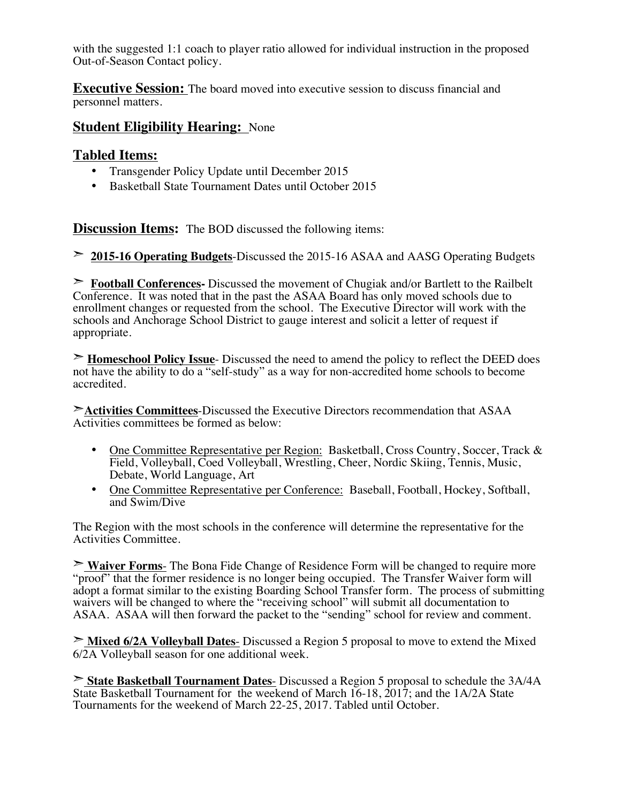with the suggested 1:1 coach to player ratio allowed for individual instruction in the proposed Out-of-Season Contact policy.

**Executive Session:** The board moved into executive session to discuss financial and personnel matters.

### **Student Eligibility Hearing:** None

### **Tabled Items:**

- Transgender Policy Update until December 2015
- Basketball State Tournament Dates until October 2015

**Discussion Items:** The BOD discussed the following items:

➣ **2015-16 Operating Budgets**-Discussed the 2015-16 ASAA and AASG Operating Budgets

➣ **Football Conferences-** Discussed the movement of Chugiak and/or Bartlett to the Railbelt Conference. It was noted that in the past the ASAA Board has only moved schools due to enrollment changes or requested from the school. The Executive Director will work with the schools and Anchorage School District to gauge interest and solicit a letter of request if appropriate.

➣ **Homeschool Policy Issue**- Discussed the need to amend the policy to reflect the DEED does not have the ability to do a "self-study" as a way for non-accredited home schools to become accredited.

➣**Activities Committees**-Discussed the Executive Directors recommendation that ASAA Activities committees be formed as below:

- One Committee Representative per Region: Basketball, Cross Country, Soccer, Track & Field, Volleyball, Coed Volleyball, Wrestling, Cheer, Nordic Skiing, Tennis, Music, Debate, World Language, Art
- One Committee Representative per Conference: Baseball, Football, Hockey, Softball, and Swim/Dive

The Region with the most schools in the conference will determine the representative for the Activities Committee.

➣ **Waiver Forms**- The Bona Fide Change of Residence Form will be changed to require more "proof" that the former residence is no longer being occupied. The Transfer Waiver form will adopt a format similar to the existing Boarding School Transfer form. The process of submitting waivers will be changed to where the "receiving school" will submit all documentation to ASAA. ASAA will then forward the packet to the "sending" school for review and comment.

➣ **Mixed 6/2A Volleyball Dates**- Discussed a Region 5 proposal to move to extend the Mixed 6/2A Volleyball season for one additional week.

➣ **State Basketball Tournament Dates**- Discussed a Region 5 proposal to schedule the 3A/4A State Basketball Tournament for the weekend of March 16-18, 2017; and the 1A/2A State Tournaments for the weekend of March 22-25, 2017. Tabled until October.